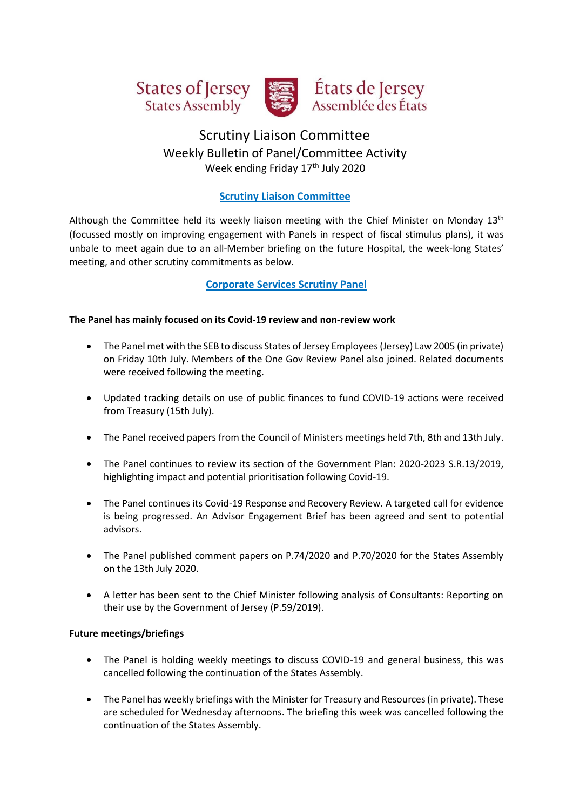



# États de Jersey Assemblée des États

## Scrutiny Liaison Committee Weekly Bulletin of Panel/Committee Activity Week ending Friday 17<sup>th</sup> July 2020

## **Scrutiny Liaison Committee**

Although the Committee held its weekly liaison meeting with the Chief Minister on Monday  $13<sup>th</sup>$ (focussed mostly on improving engagement with Panels in respect of fiscal stimulus plans), it was unbale to meet again due to an all-Member briefing on the future Hospital, the week-long States' meeting, and other scrutiny commitments as below.

## **Corporate Services Scrutiny Panel**

#### **The Panel has mainly focused on its Covid-19 review and non-review work**

- The Panel met with the SEB to discuss States of Jersey Employees (Jersey) Law 2005 (in private) on Friday 10th July. Members of the One Gov Review Panel also joined. Related documents were received following the meeting.
- Updated tracking details on use of public finances to fund COVID-19 actions were received from Treasury (15th July).
- The Panel received papers from the Council of Ministers meetings held 7th, 8th and 13th July.
- The Panel continues to review its section of the Government Plan: 2020-2023 S.R.13/2019, highlighting impact and potential prioritisation following Covid-19.
- The Panel continues its Covid-19 Response and Recovery Review. A targeted call for evidence is being progressed. An Advisor Engagement Brief has been agreed and sent to potential advisors.
- The Panel published comment papers on P.74/2020 and P.70/2020 for the States Assembly on the 13th July 2020.
- A letter has been sent to the Chief Minister following analysis of Consultants: Reporting on their use by the Government of Jersey (P.59/2019).

#### **Future meetings/briefings**

- The Panel is holding weekly meetings to discuss COVID-19 and general business, this was cancelled following the continuation of the States Assembly.
- The Panel has weekly briefings with the Minister for Treasury and Resources (in private). These are scheduled for Wednesday afternoons. The briefing this week was cancelled following the continuation of the States Assembly.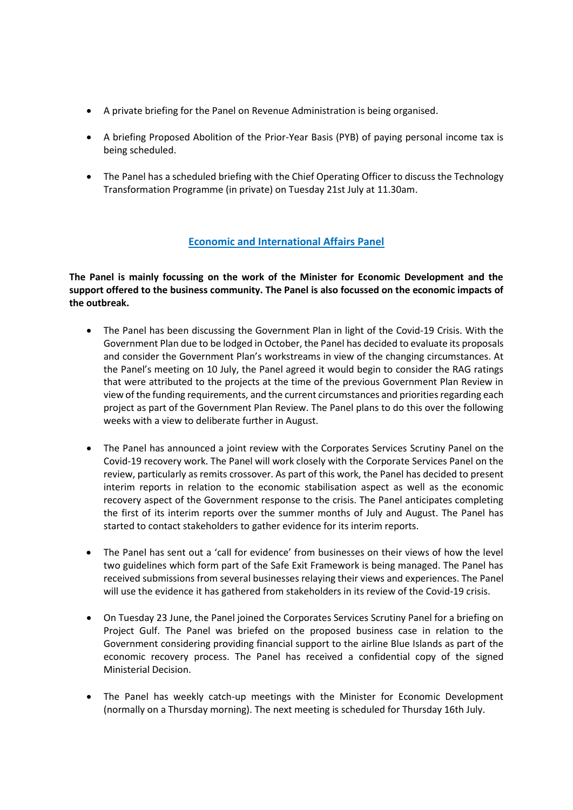- A private briefing for the Panel on Revenue Administration is being organised.
- A briefing Proposed Abolition of the Prior-Year Basis (PYB) of paying personal income tax is being scheduled.
- The Panel has a scheduled briefing with the Chief Operating Officer to discuss the Technology Transformation Programme (in private) on Tuesday 21st July at 11.30am.

#### **Economic and International Affairs Panel**

**The Panel is mainly focussing on the work of the Minister for Economic Development and the support offered to the business community. The Panel is also focussed on the economic impacts of the outbreak.**

- The Panel has been discussing the Government Plan in light of the Covid-19 Crisis. With the Government Plan due to be lodged in October, the Panel has decided to evaluate its proposals and consider the Government Plan's workstreams in view of the changing circumstances. At the Panel's meeting on 10 July, the Panel agreed it would begin to consider the RAG ratings that were attributed to the projects at the time of the previous Government Plan Review in view of the funding requirements, and the current circumstances and priorities regarding each project as part of the Government Plan Review. The Panel plans to do this over the following weeks with a view to deliberate further in August.
- The Panel has announced a joint review with the Corporates Services Scrutiny Panel on the Covid-19 recovery work. The Panel will work closely with the Corporate Services Panel on the review, particularly as remits crossover. As part of this work, the Panel has decided to present interim reports in relation to the economic stabilisation aspect as well as the economic recovery aspect of the Government response to the crisis. The Panel anticipates completing the first of its interim reports over the summer months of July and August. The Panel has started to contact stakeholders to gather evidence for its interim reports.
- The Panel has sent out a 'call for evidence' from businesses on their views of how the level two guidelines which form part of the Safe Exit Framework is being managed. The Panel has received submissions from several businesses relaying their views and experiences. The Panel will use the evidence it has gathered from stakeholders in its review of the Covid-19 crisis.
- On Tuesday 23 June, the Panel joined the Corporates Services Scrutiny Panel for a briefing on Project Gulf. The Panel was briefed on the proposed business case in relation to the Government considering providing financial support to the airline Blue Islands as part of the economic recovery process. The Panel has received a confidential copy of the signed Ministerial Decision.
- The Panel has weekly catch-up meetings with the Minister for Economic Development (normally on a Thursday morning). The next meeting is scheduled for Thursday 16th July.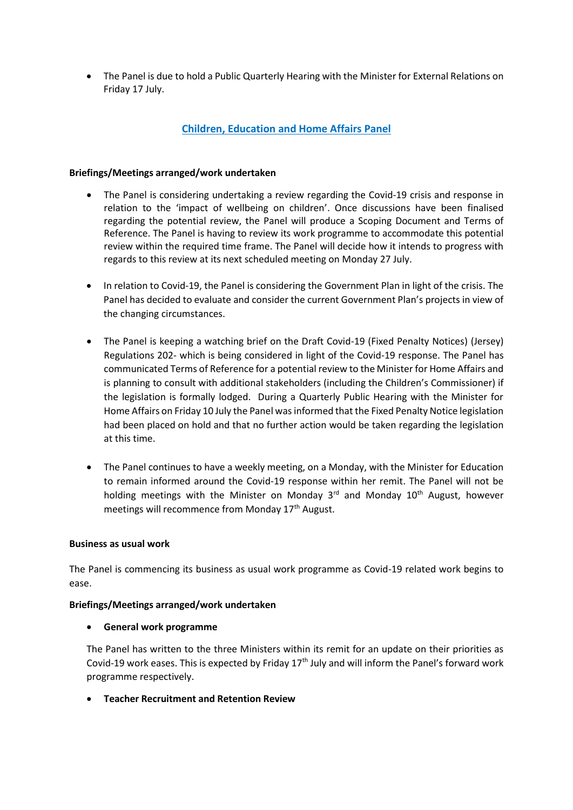• The Panel is due to hold a Public Quarterly Hearing with the Minister for External Relations on Friday 17 July.

## **Children, Education and Home Affairs Panel**

#### **Briefings/Meetings arranged/work undertaken**

- The Panel is considering undertaking a review regarding the Covid-19 crisis and response in relation to the 'impact of wellbeing on children'. Once discussions have been finalised regarding the potential review, the Panel will produce a Scoping Document and Terms of Reference. The Panel is having to review its work programme to accommodate this potential review within the required time frame. The Panel will decide how it intends to progress with regards to this review at its next scheduled meeting on Monday 27 July.
- In relation to Covid-19, the Panel is considering the Government Plan in light of the crisis. The Panel has decided to evaluate and consider the current Government Plan's projects in view of the changing circumstances.
- The Panel is keeping a watching brief on the Draft Covid-19 (Fixed Penalty Notices) (Jersey) Regulations 202- which is being considered in light of the Covid-19 response. The Panel has communicated Terms of Reference for a potential review to the Minister for Home Affairs and is planning to consult with additional stakeholders (including the Children's Commissioner) if the legislation is formally lodged. During a Quarterly Public Hearing with the Minister for Home Affairs on Friday 10 July the Panel was informed that the Fixed Penalty Notice legislation had been placed on hold and that no further action would be taken regarding the legislation at this time.
- The Panel continues to have a weekly meeting, on a Monday, with the Minister for Education to remain informed around the Covid-19 response within her remit. The Panel will not be holding meetings with the Minister on Monday  $3<sup>rd</sup>$  and Monday  $10<sup>th</sup>$  August, however meetings will recommence from Monday 17<sup>th</sup> August.

#### **Business as usual work**

The Panel is commencing its business as usual work programme as Covid-19 related work begins to ease.

#### **Briefings/Meetings arranged/work undertaken**

• **General work programme** 

The Panel has written to the three Ministers within its remit for an update on their priorities as Covid-19 work eases. This is expected by Friday 17<sup>th</sup> July and will inform the Panel's forward work programme respectively.

• **Teacher Recruitment and Retention Review**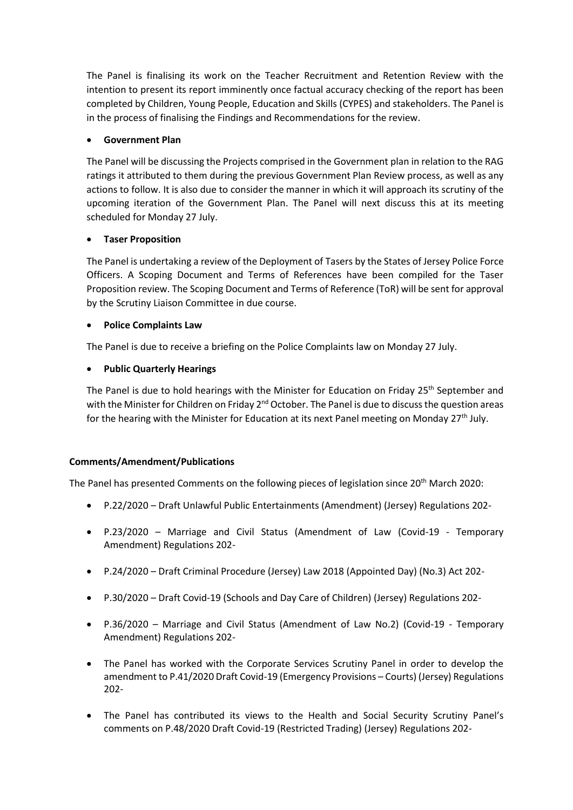The Panel is finalising its work on the Teacher Recruitment and Retention Review with the intention to present its report imminently once factual accuracy checking of the report has been completed by Children, Young People, Education and Skills (CYPES) and stakeholders. The Panel is in the process of finalising the Findings and Recommendations for the review.

#### • **Government Plan**

The Panel will be discussing the Projects comprised in the Government plan in relation to the RAG ratings it attributed to them during the previous Government Plan Review process, as well as any actions to follow. It is also due to consider the manner in which it will approach its scrutiny of the upcoming iteration of the Government Plan. The Panel will next discuss this at its meeting scheduled for Monday 27 July.

#### • **Taser Proposition**

The Panel is undertaking a review of the Deployment of Tasers by the States of Jersey Police Force Officers. A Scoping Document and Terms of References have been compiled for the Taser Proposition review. The Scoping Document and Terms of Reference (ToR) will be sent for approval by the Scrutiny Liaison Committee in due course.

#### • **Police Complaints Law**

The Panel is due to receive a briefing on the Police Complaints law on Monday 27 July.

#### • **Public Quarterly Hearings**

The Panel is due to hold hearings with the Minister for Education on Friday 25<sup>th</sup> September and with the Minister for Children on Friday 2<sup>nd</sup> October. The Panel is due to discuss the question areas for the hearing with the Minister for Education at its next Panel meeting on Monday 27<sup>th</sup> July.

#### **Comments/Amendment/Publications**

The Panel has presented Comments on the following pieces of legislation since 20th March 2020:

- P.22/2020 Draft Unlawful Public Entertainments (Amendment) (Jersey) Regulations 202-
- P.23/2020 Marriage and Civil Status (Amendment of Law (Covid-19 Temporary Amendment) Regulations 202-
- P.24/2020 Draft Criminal Procedure (Jersey) Law 2018 (Appointed Day) (No.3) Act 202-
- P.30/2020 Draft Covid-19 (Schools and Day Care of Children) (Jersey) Regulations 202-
- P.36/2020 Marriage and Civil Status (Amendment of Law No.2) (Covid-19 Temporary Amendment) Regulations 202-
- The Panel has worked with the Corporate Services Scrutiny Panel in order to develop the amendment to P.41/2020 Draft Covid-19 (Emergency Provisions – Courts) (Jersey) Regulations 202-
- The Panel has contributed its views to the Health and Social Security Scrutiny Panel's comments on P.48/2020 Draft Covid-19 (Restricted Trading) (Jersey) Regulations 202-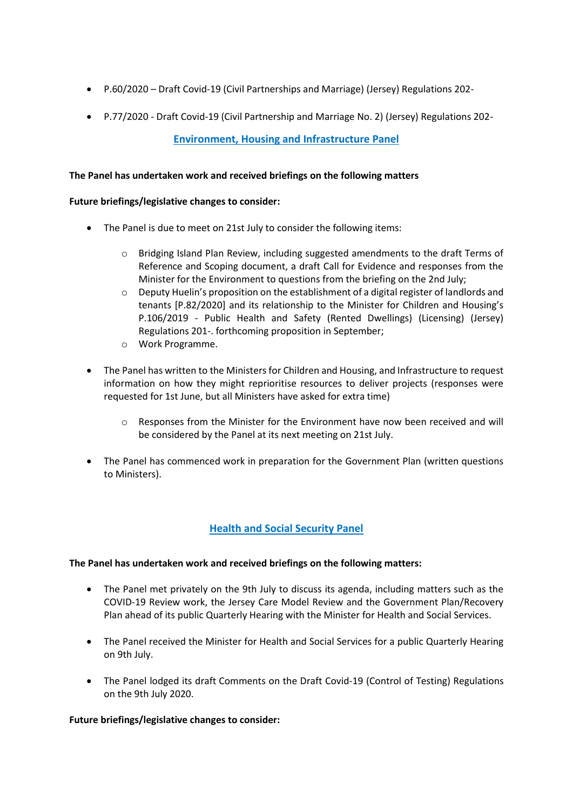- P.60/2020 Draft Covid-19 (Civil Partnerships and Marriage) (Jersey) Regulations 202-
- P.77/2020 Draft Covid-19 (Civil Partnership and Marriage No. 2) (Jersey) Regulations 202-

### **Environment, Housing and Infrastructure Panel**

#### **The Panel has undertaken work and received briefings on the following matters**

#### **Future briefings/legislative changes to consider:**

- The Panel is due to meet on 21st July to consider the following items:
	- $\circ$  Bridging Island Plan Review, including suggested amendments to the draft Terms of Reference and Scoping document, a draft Call for Evidence and responses from the Minister for the Environment to questions from the briefing on the 2nd July;
	- o Deputy Huelin's proposition on [the establishment of a digital register of landlords and](https://statesassembly.gov.je/Pages/Propositions.aspx?ref=P.82/2020&refurl=%2fPages%2fPropositions.aspx)  [tenants \[P.82/2020\]](https://statesassembly.gov.je/Pages/Propositions.aspx?ref=P.82/2020&refurl=%2fPages%2fPropositions.aspx) and its relationship to the Minister for Children and Housing's P.106/2019 - Public Health and Safety (Rented Dwellings) (Licensing) (Jersey) Regulations 201-. forthcoming proposition in September;
	- o Work Programme.
- The Panel has written to the Ministers for Children and Housing, and Infrastructure to request information on how they might reprioritise resources to deliver projects (responses were requested for 1st June, but all Ministers have asked for extra time)
	- o Responses from the Minister for the Environment have now been received and will be considered by the Panel at its next meeting on 21st July.
- The Panel has commenced work in preparation for the Government Plan (written questions to Ministers).

## **Health and Social Security Panel**

#### **The Panel has undertaken work and received briefings on the following matters:**

- The Panel met privately on the 9th July to discuss its agenda, including matters such as the COVID-19 Review work, the Jersey Care Model Review and the Government Plan/Recovery Plan ahead of its public Quarterly Hearing with the Minister for Health and Social Services.
- The Panel received the Minister for Health and Social Services for a public Quarterly Hearing on 9th July.
- The Panel lodged its draft Comments on the Draft Covid-19 (Control of Testing) Regulations on the 9th July 2020.

#### **Future briefings/legislative changes to consider:**